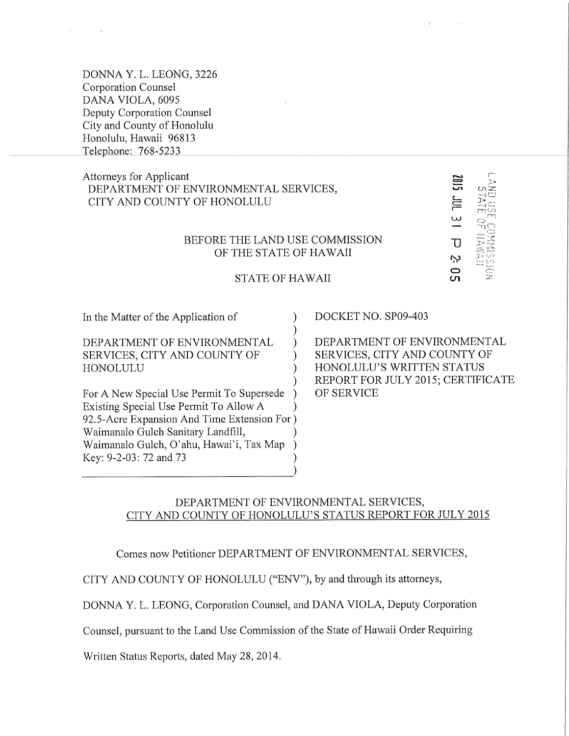DONNA Y.L. LEONG, 3226 **Corporation Counsel** DANA VIOLA, 6095 Deputy Corporation Counsel City and County of Honolulu Honolulu, Hawaii 96813 Telephone: 768-5233

## **Attorneys for Applicant** DEPARTMENT OF ENVIRONMENTAL SERVICES, CITY AND COUNTY OF HONOLULU

#### BEFORE THE LAND USE COMMISSION OF THE STATE OF HAWAII

#### **STATE OF HAWAII**

 $\mathcal{L}$ 

 $\lambda$ 

 $\lambda$ 

 $\lambda$ 

In the Matter of the Application of

DEPARTMENT OF ENVIRONMENTAL SERVICES, CITY AND COUNTY OF HONOLULU

For A New Special Use Permit To Supersede  $\lambda$ Existing Special Use Permit To Allow A 92.5-Acre Expansion And Time Extension For) Waimanalo Gulch Sanitary Landfill, Waimanalo Gulch, O'ahu, Hawai'i, Tax Map Key: 9-2-03: 72 and 73

DOCKET NO. SP09-403

DEPARTMENT OF ENVIRONMENTAL SERVICES, CITY AND COUNTY OF HONOLULU'S WRITTEN STATUS REPORT FOR JULY 2015; CERTIFICATE OF SERVICE

سا

 $\overline{D}$ 

Ņ င္တာ

#### DEPARTMENT OF ENVIRONMENTAL SERVICES, CITY AND COUNTY OF HONOLULU'S STATUS REPORT FOR JULY 2015

Comes now Petitioner DEPARTMENT OF ENVIRONMENTAL SERVICES,

CITY AND COUNTY OF HONOLULU ("ENV"), by and through its attorneys,

DONNA Y. L. LEONG, Corporation Counsel, and DANA VIOLA, Deputy Corporation

Counsel, pursuant to the Land Use Commission of the State of Hawaii Order Requiring

Written Status Reports, dated May 28, 2014.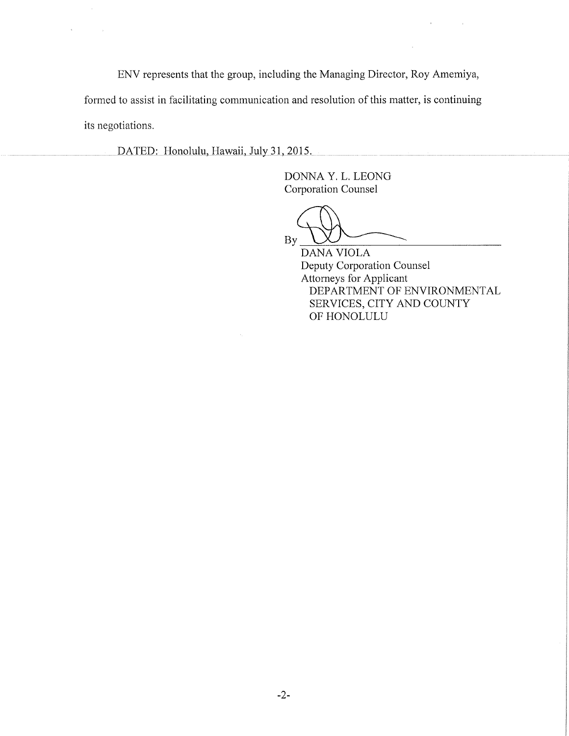ENV represents that the group, including the Managing Director, Roy Amemiya,

formed to assist in facilitating communication and resolution of this matter, is continuing its negotiations.

DATED: Honolulu, Hawaii, July 31, 2015.

 $\sim$ 

DONNA Y. L. LEONG Corporation Counsel

By

DANA VIOLA Deputy Corporation Counsel Attorneys for Applicant DEPARTMENT OF ENVIRONMENTAL SERVICES, CITY AND COUNTY OF HONOLULU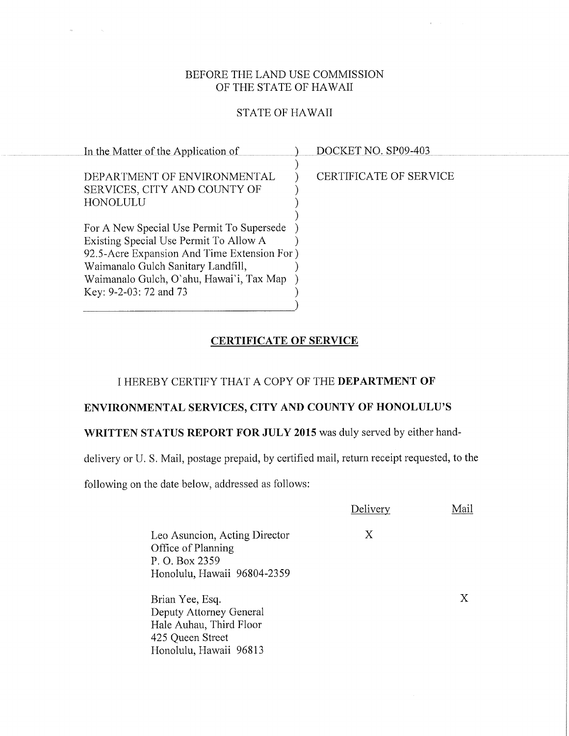### BEFORE THE LAND USE COMMISSION OF THE STATE OF HAWAII

#### STATE OF HAWAII

| In the Matter of the Application of         | DOCKET NO. SP09-403    |
|---------------------------------------------|------------------------|
|                                             |                        |
| DEPARTMENT OF ENVIRONMENTAL                 | CERTIFICATE OF SERVICE |
| SERVICES, CITY AND COUNTY OF                |                        |
| HONOLULU                                    |                        |
|                                             |                        |
| For A New Special Use Permit To Supersede   |                        |
| Existing Special Use Permit To Allow A      |                        |
| 92.5-Acre Expansion And Time Extension For) |                        |
| Waimanalo Gulch Sanitary Landfill,          |                        |
| Waimanalo Gulch, O'ahu, Hawai'i, Tax Map    |                        |
| Key: 9-2-03: 72 and 73                      |                        |
|                                             |                        |

# CERTIFICATE OF SERVICE

#### I HEREBY CERTIFY THAT A COPY OF THE DEPARTMENT OF

## ENVIRONMENTAL SERVICES, CITY AND COUNTY OF HONOLULU'S

# WRITTEN STATUS REPORT FOR JULY 2015 was duly served by either hand-

delivery or U. S. Mail, postage prepaid, by certified mail, return receipt requested, to the

following on the date below, addressed as follows:

 $\alpha$ 

|                                                                                                                     | Delivery | Mail |
|---------------------------------------------------------------------------------------------------------------------|----------|------|
| Leo Asuncion, Acting Director<br>Office of Planning<br>P. O. Box 2359<br>Honolulu, Hawaii 96804-2359                | X        |      |
| Brian Yee, Esq.<br>Deputy Attorney General<br>Hale Auhau, Third Floor<br>425 Queen Street<br>Honolulu, Hawaii 96813 |          | Χ    |